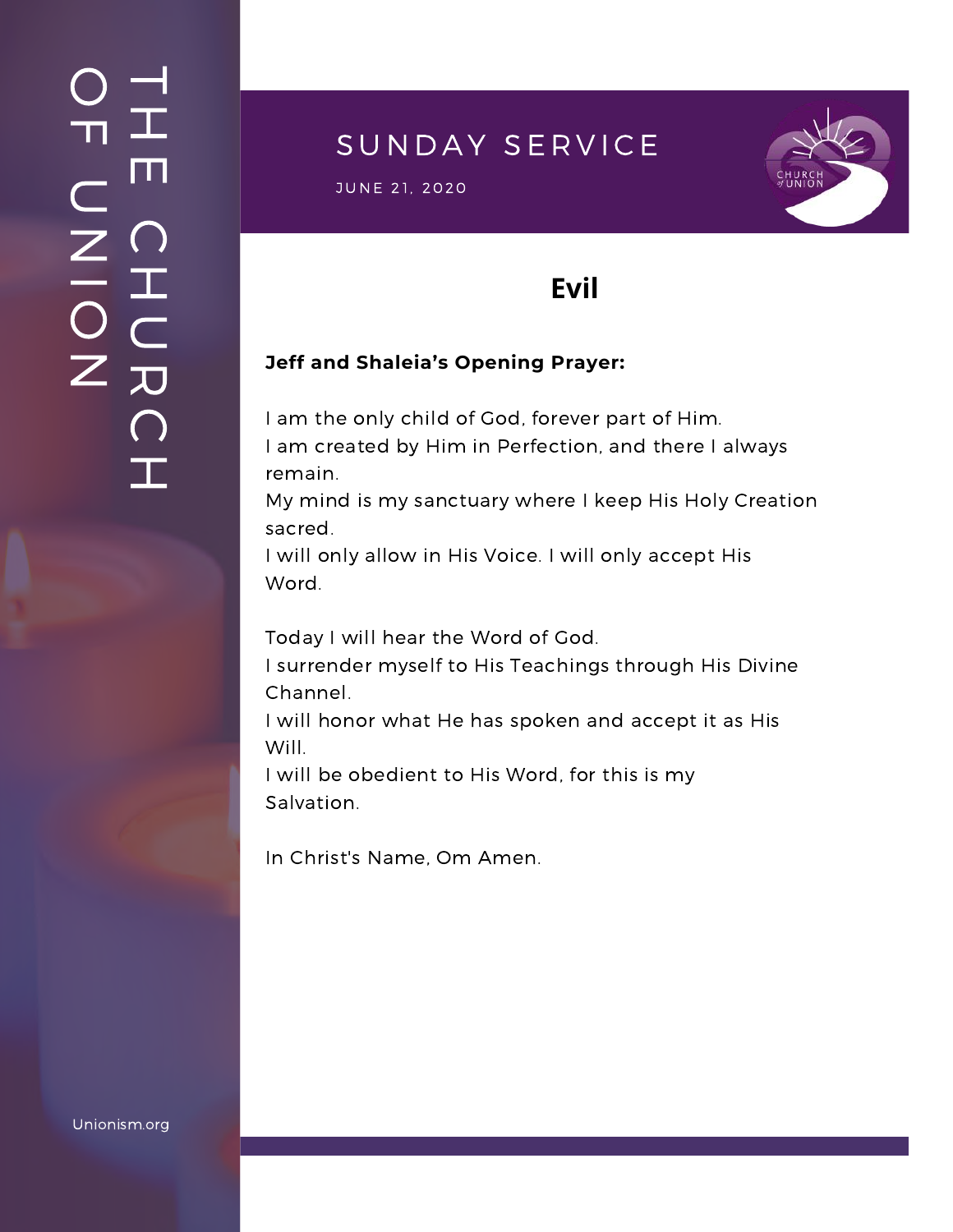### $\overline{\phantom{a}}$ H m.  $\bigcap$ H  $\subset$ 刀  $\bigcap$  $\mathbf{I}$  .  $\bigcirc$  $\blacksquare$  $\subset$  $\mathsf{Z}^+$ <u>In the Second Contract of the Second Contract of the International Second Contract of the International Second Contract of the International Second Contract of the International Second Contract of the International Second</u>  $\bigcirc$  $\mathsf{Z}^+$

# SUNDAY SERVICE

S U N D A Y S E R V I C E J U N E 2 1, 2020



# **Evil**

### **Jeff and Shaleia's Opening Prayer:**

I am the only child of God, forever part of Him. I am created by Him in Perfection, and there I always remain.

My mind is my sanctuary where I keep His Holy Creation sacred.

I will only allow in His Voice. I will only accept His Word.

Today I will hear the Word of God.

I surrender myself to His Teachings through His Divine Channel.

I will honor what He has spoken and accept it as His Will.

I will be obedient to His Word, for this is my Salvation.

In Christ's Name, Om Amen.